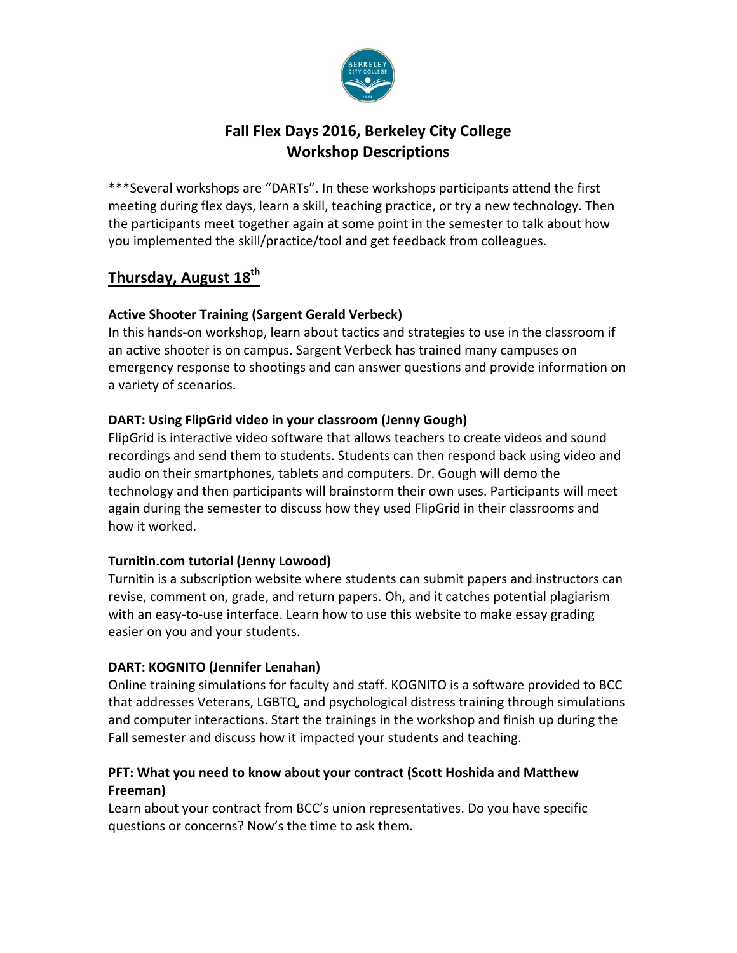

# **Fall Flex Days 2016, Berkeley City College Workshop Descriptions**

\*\*\*Several workshops are "DARTs". In these workshops participants attend the first meeting during flex days, learn a skill, teaching practice, or try a new technology. Then the participants meet together again at some point in the semester to talk about how you implemented the skill/practice/tool and get feedback from colleagues.

# **Thursday, August 18th**

## **Active Shooter Training (Sargent Gerald Verbeck)**

In this hands-on workshop, learn about tactics and strategies to use in the classroom if an active shooter is on campus. Sargent Verbeck has trained many campuses on emergency response to shootings and can answer questions and provide information on a variety of scenarios.

## **DART: Using FlipGrid video in your classroom (Jenny Gough)**

FlipGrid is interactive video software that allows teachers to create videos and sound recordings and send them to students. Students can then respond back using video and audio on their smartphones, tablets and computers. Dr. Gough will demo the technology and then participants will brainstorm their own uses. Participants will meet again during the semester to discuss how they used FlipGrid in their classrooms and how it worked.

## **Turnitin.com tutorial (Jenny Lowood)**

Turnitin is a subscription website where students can submit papers and instructors can revise, comment on, grade, and return papers. Oh, and it catches potential plagiarism with an easy-to-use interface. Learn how to use this website to make essay grading easier on you and your students.

## **DART: KOGNITO (Jennifer Lenahan)**

Online training simulations for faculty and staff. KOGNITO is a software provided to BCC that addresses Veterans, LGBTQ, and psychological distress training through simulations and computer interactions. Start the trainings in the workshop and finish up during the Fall semester and discuss how it impacted your students and teaching.

## **PFT: What you need to know about your contract (Scott Hoshida and Matthew Freeman)**

Learn about your contract from BCC's union representatives. Do you have specific questions or concerns? Now's the time to ask them.